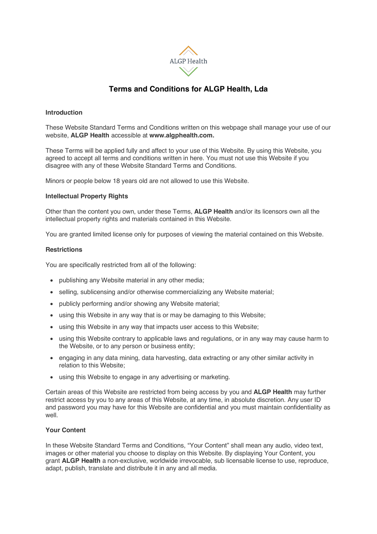

# **Terms and Conditions for ALGP Health, Lda**

# **Introduction**

These Website Standard Terms and Conditions written on this webpage shall manage your use of our website, **ALGP Health** accessible at **www.algphealth.com.**

These Terms will be applied fully and affect to your use of this Website. By using this Website, you agreed to accept all terms and conditions written in here. You must not use this Website if you disagree with any of these Website Standard Terms and Conditions.

Minors or people below 18 years old are not allowed to use this Website.

# **Intellectual Property Rights**

Other than the content you own, under these Terms, **ALGP Health** and/or its licensors own all the intellectual property rights and materials contained in this Website.

You are granted limited license only for purposes of viewing the material contained on this Website.

# **Restrictions**

You are specifically restricted from all of the following:

- publishing any Website material in any other media;
- selling, sublicensing and/or otherwise commercializing any Website material;
- publicly performing and/or showing any Website material;
- using this Website in any way that is or may be damaging to this Website;
- using this Website in any way that impacts user access to this Website;
- using this Website contrary to applicable laws and regulations, or in any way may cause harm to the Website, or to any person or business entity;
- engaging in any data mining, data harvesting, data extracting or any other similar activity in relation to this Website;
- using this Website to engage in any advertising or marketing.

Certain areas of this Website are restricted from being access by you and **ALGP Health** may further restrict access by you to any areas of this Website, at any time, in absolute discretion. Any user ID and password you may have for this Website are confidential and you must maintain confidentiality as well.

# **Your Content**

In these Website Standard Terms and Conditions, "Your Content" shall mean any audio, video text, images or other material you choose to display on this Website. By displaying Your Content, you grant **ALGP Health** a non-exclusive, worldwide irrevocable, sub licensable license to use, reproduce, adapt, publish, translate and distribute it in any and all media.